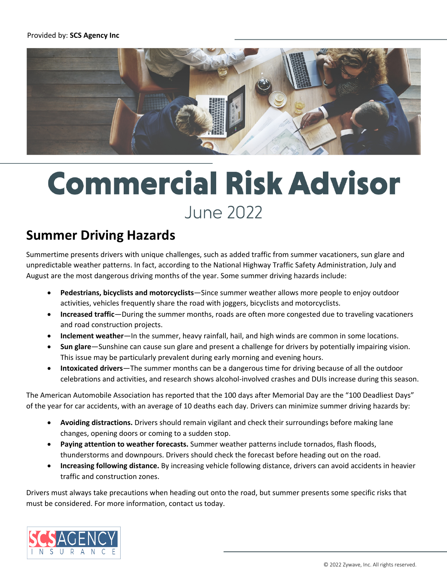

## **Commercial Risk Advisor June 2022**

## **Summer Driving Hazards**

Summertime presents drivers with unique challenges, such as added traffic from summer vacationers, sun glare and unpredictable weather patterns. In fact, according to the National Highway Traffic Safety Administration, July and August are the most dangerous driving months of the year. Some summer driving hazards include:

- **Pedestrians, bicyclists and motorcyclists**—Since summer weather allows more people to enjoy outdoor activities, vehicles frequently share the road with joggers, bicyclists and motorcyclists.
- **Increased traffic**—During the summer months, roads are often more congested due to traveling vacationers and road construction projects.
- **Inclement weather**—In the summer, heavy rainfall, hail, and high winds are common in some locations.
- **Sun glare**—Sunshine can cause sun glare and present a challenge for drivers by potentially impairing vision. This issue may be particularly prevalent during early morning and evening hours.
- **Intoxicated drivers**—The summer months can be a dangerous time for driving because of all the outdoor celebrations and activities, and research shows alcohol-involved crashes and DUIs increase during this season.

The American Automobile Association has reported that the 100 days after Memorial Day are the "100 Deadliest Days" of the year for car accidents, with an average of 10 deaths each day. Drivers can minimize summer driving hazards by:

- **Avoiding distractions.** Drivers should remain vigilant and check their surroundings before making lane changes, opening doors or coming to a sudden stop.
- **Paying attention to weather forecasts.** Summer weather patterns include tornados, flash floods, thunderstorms and downpours. Drivers should check the forecast before heading out on the road.
- **Increasing following distance.** By increasing vehicle following distance, drivers can avoid accidents in heavier traffic and construction zones.

Drivers must always take precautions when heading out onto the road, but summer presents some specific risks that must be considered. For more information, contact us today.